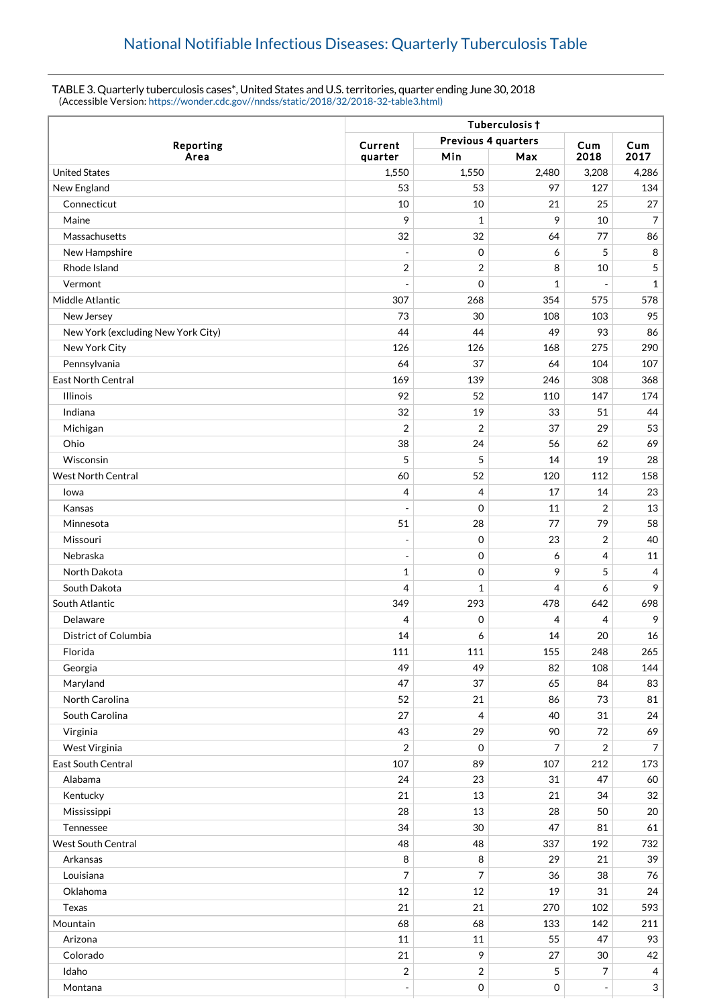## TABLE 3. Quarterly tuberculosis cases\*, United States and U.S. territories, quarter ending June 30, 2018 (Accessible Version: [https://wonder.cdc.gov//nndss/static/2018/32/2018-32-table3.html\)](https://wonder.cdc.gov//nndss/static/2018/32/2018-32-table3.html)

|                                    | Tuberculosis +                 |                |       |                |                |  |
|------------------------------------|--------------------------------|----------------|-------|----------------|----------------|--|
| Reporting                          | Previous 4 quarters<br>Current |                |       | Cum<br>Cum     |                |  |
| Area                               | quarter                        | Min            | Max   | 2018           | 2017           |  |
| <b>United States</b>               | 1,550                          | 1,550          | 2,480 | 3,208          | 4,286          |  |
| New England                        | 53                             | 53             | 97    | 127            | 134            |  |
| Connecticut                        | 10                             | 10             | 21    | 25             | 27             |  |
| Maine                              | 9                              | 1              | 9     | 10             | 7              |  |
| Massachusetts                      | 32                             | 32             | 64    | 77             | 86             |  |
| New Hampshire                      |                                | $\mathbf 0$    | 6     | 5              | 8              |  |
| Rhode Island                       | $\overline{2}$                 | $\overline{2}$ | 8     | 10             | 5              |  |
| Vermont                            |                                | $\mathbf 0$    | 1     |                | $\mathbf{1}$   |  |
| Middle Atlantic                    | 307                            | 268            | 354   | 575            | 578            |  |
| New Jersey                         | 73                             | 30             | 108   | 103            | 95             |  |
| New York (excluding New York City) | 44                             | 44             | 49    | 93             | 86             |  |
| New York City                      | 126                            | 126            | 168   | 275            | 290            |  |
| Pennsylvania                       | 64                             | 37             | 64    | 104            | 107            |  |
| <b>East North Central</b>          | 169                            | 139            | 246   | 308            | 368            |  |
| <b>Illinois</b>                    | 92                             | 52             | 110   | 147            | 174            |  |
| Indiana                            | 32                             | 19             | 33    | 51             | 44             |  |
| Michigan                           | $\overline{2}$                 | $\overline{2}$ | 37    | 29             | 53             |  |
| Ohio                               | 38                             | 24             | 56    | 62             | 69             |  |
| Wisconsin                          | 5                              | 5              | 14    | 19             | 28             |  |
| <b>West North Central</b>          | 60                             | 52             | 120   | 112            | 158            |  |
| Iowa                               | $\overline{4}$                 | $\overline{4}$ | 17    | 14             | 23             |  |
| Kansas                             |                                | $\mathbf 0$    | 11    | $\overline{2}$ | 13             |  |
| Minnesota                          | 51                             | 28             | 77    | 79             | 58             |  |
| Missouri                           | $\blacksquare$                 | $\mathbf 0$    | 23    | $\overline{2}$ | 40             |  |
| Nebraska                           |                                | $\mathbf 0$    | 6     | 4              | 11             |  |
| North Dakota                       | $\mathbf{1}$                   | $\mathbf 0$    | 9     | 5              | $\overline{4}$ |  |
| South Dakota                       | $\overline{4}$                 | 1              | 4     | 6              | 9              |  |
| South Atlantic                     | 349                            | 293            | 478   | 642            | 698            |  |
| Delaware                           | 4                              | $\mathbf 0$    | 4     | 4              | 9              |  |
| <b>District of Columbia</b>        | 14                             | 6              | 14    | 20             | 16             |  |
| Florida                            | 111                            | 111            | 155   | 248            | 265            |  |
| Georgia                            | 49                             | 49             | 82    | 108            | 144            |  |
| Maryland                           | 47                             | 37             | 65    | 84             | 83             |  |
| North Carolina                     | 52                             | 21             | 86    | 73             | 81             |  |
| South Carolina                     | 27                             | $\overline{4}$ | 40    | 31             | 24             |  |
| Virginia                           | 43                             | 29             | 90    | 72             | 69             |  |
| West Virginia                      | $\sqrt{2}$                     | $\mathbf 0$    | 7     | 2              | $\overline{7}$ |  |
| East South Central                 | 107                            | 89             | 107   | 212            | 173            |  |
| Alabama                            | 24                             | 23             | 31    | 47             | 60             |  |
| Kentucky                           | 21                             | 13             | 21    | 34             | $32\,$         |  |
| Mississippi                        | 28                             | 13             | 28    | 50             | 20             |  |
| Tennessee                          | 34                             | 30             | 47    | 81             | 61             |  |
| <b>West South Central</b>          | 48                             | 48             | 337   | 192            | 732            |  |
| Arkansas                           | 8                              | $\, 8$         | 29    | 21             | 39             |  |
| Louisiana                          | 7                              | 7              | 36    | 38             | 76             |  |
| Oklahoma                           | 12                             | $12\,$         | 19    | 31             | 24             |  |
| Texas                              | 21                             | 21             | 270   | 102            | 593            |  |
| Mountain                           | 68                             | 68             | 133   | 142            | 211            |  |
| Arizona                            | 11                             | 11             | 55    | 47             | 93             |  |
| Colorado                           | 21                             | 9              | 27    | $30\,$         | 42             |  |
| Idaho                              | $\overline{2}$                 | $\overline{2}$ | 5     | 7              | $\overline{4}$ |  |
| Montana                            |                                | $\mathbf 0$    | 0     |                | $\mathbf{3}$   |  |
|                                    |                                |                |       |                |                |  |